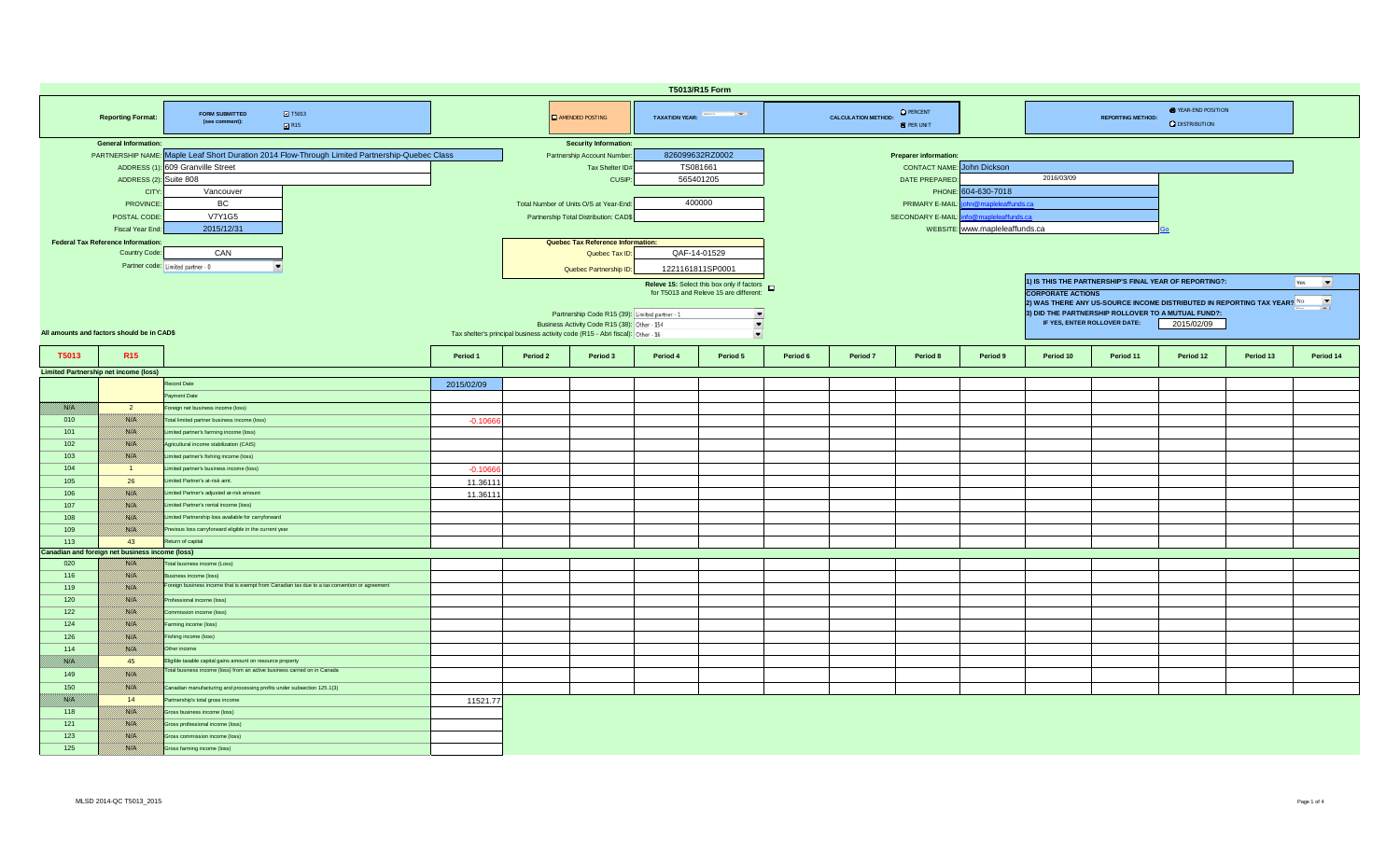| T5013/R15 Form |                                                          |                                                                                              |            |                                                                               |                                                                                                                      |              |                                                     |                                        |          |                   |                                |                                                                                                 |           |                                                        |                                                                                 |                                 |  |  |  |  |
|----------------|----------------------------------------------------------|----------------------------------------------------------------------------------------------|------------|-------------------------------------------------------------------------------|----------------------------------------------------------------------------------------------------------------------|--------------|-----------------------------------------------------|----------------------------------------|----------|-------------------|--------------------------------|-------------------------------------------------------------------------------------------------|-----------|--------------------------------------------------------|---------------------------------------------------------------------------------|---------------------------------|--|--|--|--|
|                | <b>Reporting Format:</b>                                 | $\blacksquare$ T5013<br><b>FORM SUBMITTED</b><br>(see comment):<br>R15                       |            |                                                                               | <b>O</b> PERCENT<br>TAXATION YEAR: France Form<br><b>CALCULATION METHOD:</b><br>AMENDED POSTING<br><b>O</b> PER UNIT |              |                                                     |                                        |          |                   |                                |                                                                                                 |           |                                                        | <b>O</b> YEAR-END POSITION<br><b>REPORTING METHOD:</b><br><b>Q</b> DISTRIBUTION |                                 |  |  |  |  |
|                | <b>General Information:</b>                              |                                                                                              |            |                                                                               | <b>Security Information:</b>                                                                                         |              |                                                     |                                        |          |                   |                                |                                                                                                 |           |                                                        |                                                                                 |                                 |  |  |  |  |
|                | PARTNERSHIP NAME:                                        | Maple Leaf Short Duration 2014 Flow-Through Limited Partnership-Quebec Class                 |            | 826099632RZ0002<br>Partnership Account Number<br><b>Preparer information:</b> |                                                                                                                      |              |                                                     |                                        |          |                   |                                |                                                                                                 |           |                                                        |                                                                                 |                                 |  |  |  |  |
|                | ADDRESS (1)                                              | 609 Granville Street                                                                         |            |                                                                               | Tax Shelter ID#                                                                                                      |              | TS081661                                            | <b>CONTACT NAME:</b> John Dickson      |          |                   |                                |                                                                                                 |           |                                                        |                                                                                 |                                 |  |  |  |  |
|                | ADDRESS (2): Suite 808                                   |                                                                                              |            |                                                                               | CUSIP:                                                                                                               |              | 565401205                                           |                                        |          | DATE PREPARED:    |                                | 2016/03/09                                                                                      |           |                                                        |                                                                                 |                                 |  |  |  |  |
|                | <b>CITY</b>                                              | Vancouver                                                                                    |            |                                                                               |                                                                                                                      |              |                                                     |                                        |          |                   | PHONE: 604-630-7018            |                                                                                                 |           |                                                        |                                                                                 |                                 |  |  |  |  |
|                | <b>PROVINCE</b>                                          | BC.                                                                                          |            |                                                                               | Total Number of Units O/S at Year-End:                                                                               |              | 400000                                              | n@mapleleaffunds.ca<br>PRIMARY E-MAIL: |          |                   |                                |                                                                                                 |           |                                                        |                                                                                 |                                 |  |  |  |  |
|                | POSTAL CODE                                              | <b>V7Y1G5</b>                                                                                |            |                                                                               | Partnership Total Distribution: CAD\$                                                                                |              |                                                     |                                        |          | SECONDARY E-MAIL: | fo@mapleleaffunds.ca           |                                                                                                 |           |                                                        |                                                                                 |                                 |  |  |  |  |
|                | Fiscal Year End:                                         | 2015/12/31                                                                                   |            |                                                                               |                                                                                                                      |              |                                                     |                                        |          |                   | WEBSITE: www.mapleleaffunds.ca |                                                                                                 |           |                                                        |                                                                                 |                                 |  |  |  |  |
|                | <b>Federal Tax Reference Information:</b>                |                                                                                              |            |                                                                               | Quebec Tax Reference Information:                                                                                    |              |                                                     |                                        |          |                   |                                |                                                                                                 |           |                                                        |                                                                                 |                                 |  |  |  |  |
|                | Country Code:                                            | CAN                                                                                          |            |                                                                               | Quebec Tax ID:                                                                                                       | QAF-14-01529 |                                                     |                                        |          |                   |                                |                                                                                                 |           |                                                        |                                                                                 |                                 |  |  |  |  |
|                |                                                          |                                                                                              |            |                                                                               |                                                                                                                      |              |                                                     |                                        |          |                   |                                |                                                                                                 |           |                                                        |                                                                                 |                                 |  |  |  |  |
|                |                                                          | Partner code: Limited partner - 0                                                            |            |                                                                               | Quebec Partnership ID:                                                                                               |              | 1221161811SP0001                                    |                                        |          |                   |                                |                                                                                                 |           |                                                        |                                                                                 |                                 |  |  |  |  |
|                |                                                          |                                                                                              |            |                                                                               |                                                                                                                      |              | Releve 15: Select this box only if factors <b>D</b> |                                        |          |                   |                                |                                                                                                 |           | 1) IS THIS THE PARTNERSHIP'S FINAL YEAR OF REPORTING?: |                                                                                 | $\overline{\phantom{a}}$<br>Yes |  |  |  |  |
|                |                                                          |                                                                                              |            |                                                                               |                                                                                                                      |              | for T5013 and Releve 15 are different:              |                                        |          |                   |                                | <b>CORPORATE ACTIONS</b>                                                                        |           |                                                        |                                                                                 |                                 |  |  |  |  |
|                |                                                          |                                                                                              |            |                                                                               |                                                                                                                      |              |                                                     |                                        |          |                   |                                | $\blacktriangledown$<br>2) WAS THERE ANY US-SOURCE INCOME DISTRIBUTED IN REPORTING TAX YEAR? No |           |                                                        |                                                                                 |                                 |  |  |  |  |
|                |                                                          |                                                                                              |            |                                                                               | Partnership Code R15 (39): Limited partner - 1                                                                       |              | $\frac{1}{\sqrt{2}}$                                |                                        |          |                   |                                |                                                                                                 |           | 3) DID THE PARTNERSHIP ROLLOVER TO A MUTUAL FUND?:     |                                                                                 |                                 |  |  |  |  |
|                | All amounts and factors should be in CAD\$               |                                                                                              |            |                                                                               | Business Activity Code R15 (38): Other - 154                                                                         |              |                                                     |                                        |          |                   |                                | IF YES, ENTER ROLLOVER DATE:<br>2015/02/09                                                      |           |                                                        |                                                                                 |                                 |  |  |  |  |
|                |                                                          |                                                                                              |            |                                                                               | Tax shelter's principal business activity code (R15 - Abri fiscal): Other - 16                                       |              | $\bullet$                                           |                                        |          |                   |                                |                                                                                                 |           |                                                        |                                                                                 |                                 |  |  |  |  |
| T5013          | R <sub>15</sub>                                          |                                                                                              | Period 1   | Period 2                                                                      | Period 3                                                                                                             | Period 4     | Period 5                                            | Period 6                               | Period 7 | Period 8          | Period 9                       | Period 10                                                                                       | Period 11 | Period 12                                              | Period 13                                                                       | Period 14                       |  |  |  |  |
|                |                                                          |                                                                                              |            |                                                                               |                                                                                                                      |              |                                                     |                                        |          |                   |                                |                                                                                                 |           |                                                        |                                                                                 |                                 |  |  |  |  |
|                | <b>Limited Partnership net income (loss)</b>             |                                                                                              |            |                                                                               |                                                                                                                      |              |                                                     |                                        |          |                   |                                |                                                                                                 |           |                                                        |                                                                                 |                                 |  |  |  |  |
|                |                                                          | Record Date                                                                                  | 2015/02/09 |                                                                               |                                                                                                                      |              |                                                     |                                        |          |                   |                                |                                                                                                 |           |                                                        |                                                                                 |                                 |  |  |  |  |
|                |                                                          | ayment Date                                                                                  |            |                                                                               |                                                                                                                      |              |                                                     |                                        |          |                   |                                |                                                                                                 |           |                                                        |                                                                                 |                                 |  |  |  |  |
| filma ka       | $\overline{2}$                                           | oreign net business income (loss)                                                            |            |                                                                               |                                                                                                                      |              |                                                     |                                        |          |                   |                                |                                                                                                 |           |                                                        |                                                                                 |                                 |  |  |  |  |
| 010            | <b>BARTA</b>                                             | Total limited partner business income (loss)                                                 | $-0.1066$  |                                                                               |                                                                                                                      |              |                                                     |                                        |          |                   |                                |                                                                                                 |           |                                                        |                                                                                 |                                 |  |  |  |  |
| 101            | 788. EU                                                  | Limited partner's farming income (loss)                                                      |            |                                                                               |                                                                                                                      |              |                                                     |                                        |          |                   |                                |                                                                                                 |           |                                                        |                                                                                 |                                 |  |  |  |  |
| 102            | 1980 OS                                                  | Agricultural income stabilization (CAIS)                                                     |            |                                                                               |                                                                                                                      |              |                                                     |                                        |          |                   |                                |                                                                                                 |           |                                                        |                                                                                 |                                 |  |  |  |  |
| 103            | <u> Issael</u>                                           | Limited partner's fishing income (loss)                                                      |            |                                                                               |                                                                                                                      |              |                                                     |                                        |          |                   |                                |                                                                                                 |           |                                                        |                                                                                 |                                 |  |  |  |  |
| 104            | $\overline{1}$                                           | imited partner's business income (loss)                                                      | $-0.1066$  |                                                                               |                                                                                                                      |              |                                                     |                                        |          |                   |                                |                                                                                                 |           |                                                        |                                                                                 |                                 |  |  |  |  |
| 105            | 26                                                       | mited Partner's at-risk amt.                                                                 | 11.36111   |                                                                               |                                                                                                                      |              |                                                     |                                        |          |                   |                                |                                                                                                 |           |                                                        |                                                                                 |                                 |  |  |  |  |
| 106            | <u> Isoloofi</u>                                         | imited Partner's adjusted at-risk amount                                                     | 11.36111   |                                                                               |                                                                                                                      |              |                                                     |                                        |          |                   |                                |                                                                                                 |           |                                                        |                                                                                 |                                 |  |  |  |  |
| 107            | 1880 EU                                                  | Limited Partner's rental income (loss)                                                       |            |                                                                               |                                                                                                                      |              |                                                     |                                        |          |                   |                                |                                                                                                 |           |                                                        |                                                                                 |                                 |  |  |  |  |
| 108            | <b>BARTA</b>                                             | imited Partnership loss available for carryforward                                           |            |                                                                               |                                                                                                                      |              |                                                     |                                        |          |                   |                                |                                                                                                 |           |                                                        |                                                                                 |                                 |  |  |  |  |
|                |                                                          |                                                                                              |            |                                                                               |                                                                                                                      |              |                                                     |                                        |          |                   |                                |                                                                                                 |           |                                                        |                                                                                 |                                 |  |  |  |  |
| 109            | //ww                                                     | Previous loss carryforward eligible in the current year                                      |            |                                                                               |                                                                                                                      |              |                                                     |                                        |          |                   |                                |                                                                                                 |           |                                                        |                                                                                 |                                 |  |  |  |  |
| 113            | 43                                                       | Return of capital                                                                            |            |                                                                               |                                                                                                                      |              |                                                     |                                        |          |                   |                                |                                                                                                 |           |                                                        |                                                                                 |                                 |  |  |  |  |
| 020            | Canadian and foreign net business income (loss)<br>788 B | Total business income (Loss)                                                                 |            |                                                                               |                                                                                                                      |              |                                                     |                                        |          |                   |                                |                                                                                                 |           |                                                        |                                                                                 |                                 |  |  |  |  |
|                |                                                          | siness income (loss)                                                                         |            |                                                                               |                                                                                                                      |              |                                                     |                                        |          |                   |                                |                                                                                                 |           |                                                        |                                                                                 |                                 |  |  |  |  |
| 116            | 1980 OS                                                  | oreign business income that is exempt from Canadian tax due to a tax convention or agreement |            |                                                                               |                                                                                                                      |              |                                                     |                                        |          |                   |                                |                                                                                                 |           |                                                        |                                                                                 |                                 |  |  |  |  |
| 119            |                                                          |                                                                                              |            |                                                                               |                                                                                                                      |              |                                                     |                                        |          |                   |                                |                                                                                                 |           |                                                        |                                                                                 |                                 |  |  |  |  |
| 120            | <b>BARTA</b>                                             | Professional income (loss)                                                                   |            |                                                                               |                                                                                                                      |              |                                                     |                                        |          |                   |                                |                                                                                                 |           |                                                        |                                                                                 |                                 |  |  |  |  |
| 122            | <b>BARTA</b>                                             | ommission income (loss)                                                                      |            |                                                                               |                                                                                                                      |              |                                                     |                                        |          |                   |                                |                                                                                                 |           |                                                        |                                                                                 |                                 |  |  |  |  |
| 124            | 1889. E                                                  | arming income (loss)                                                                         |            |                                                                               |                                                                                                                      |              |                                                     |                                        |          |                   |                                |                                                                                                 |           |                                                        |                                                                                 |                                 |  |  |  |  |
| 126            |                                                          | Fishing income (loss)                                                                        |            |                                                                               |                                                                                                                      |              |                                                     |                                        |          |                   |                                |                                                                                                 |           |                                                        |                                                                                 |                                 |  |  |  |  |
| 114            | 1889 S                                                   | Other income                                                                                 |            |                                                                               |                                                                                                                      |              |                                                     |                                        |          |                   |                                |                                                                                                 |           |                                                        |                                                                                 |                                 |  |  |  |  |
| 1980 B         | 45                                                       | Eligible taxable capital gains amount on resource property                                   |            |                                                                               |                                                                                                                      |              |                                                     |                                        |          |                   |                                |                                                                                                 |           |                                                        |                                                                                 |                                 |  |  |  |  |
| 149            | filman k                                                 | Total business income (loss) from an active business carried on in Canada                    |            |                                                                               |                                                                                                                      |              |                                                     |                                        |          |                   |                                |                                                                                                 |           |                                                        |                                                                                 |                                 |  |  |  |  |
| 150            | 1980 OS                                                  | Canadian manufacturing and processing profits under subsection 125.1(3)                      |            |                                                                               |                                                                                                                      |              |                                                     |                                        |          |                   |                                |                                                                                                 |           |                                                        |                                                                                 |                                 |  |  |  |  |
| 1980 B         | 14                                                       | Partnership's total gross income                                                             |            |                                                                               |                                                                                                                      |              |                                                     |                                        |          |                   |                                |                                                                                                 |           |                                                        |                                                                                 |                                 |  |  |  |  |
| 118            | filman k                                                 | Gross business income (loss)                                                                 | 11521.77   |                                                                               |                                                                                                                      |              |                                                     |                                        |          |                   |                                |                                                                                                 |           |                                                        |                                                                                 |                                 |  |  |  |  |
|                |                                                          |                                                                                              |            |                                                                               |                                                                                                                      |              |                                                     |                                        |          |                   |                                |                                                                                                 |           |                                                        |                                                                                 |                                 |  |  |  |  |
| 121            |                                                          | Gross professional income (loss)                                                             |            |                                                                               |                                                                                                                      |              |                                                     |                                        |          |                   |                                |                                                                                                 |           |                                                        |                                                                                 |                                 |  |  |  |  |
| 123            | 1980 OS                                                  | Gross commission income (loss)                                                               |            |                                                                               |                                                                                                                      |              |                                                     |                                        |          |                   |                                |                                                                                                 |           |                                                        |                                                                                 |                                 |  |  |  |  |
| 125            | 1980 OS                                                  | Gross farming income (loss)                                                                  |            |                                                                               |                                                                                                                      |              |                                                     |                                        |          |                   |                                |                                                                                                 |           |                                                        |                                                                                 |                                 |  |  |  |  |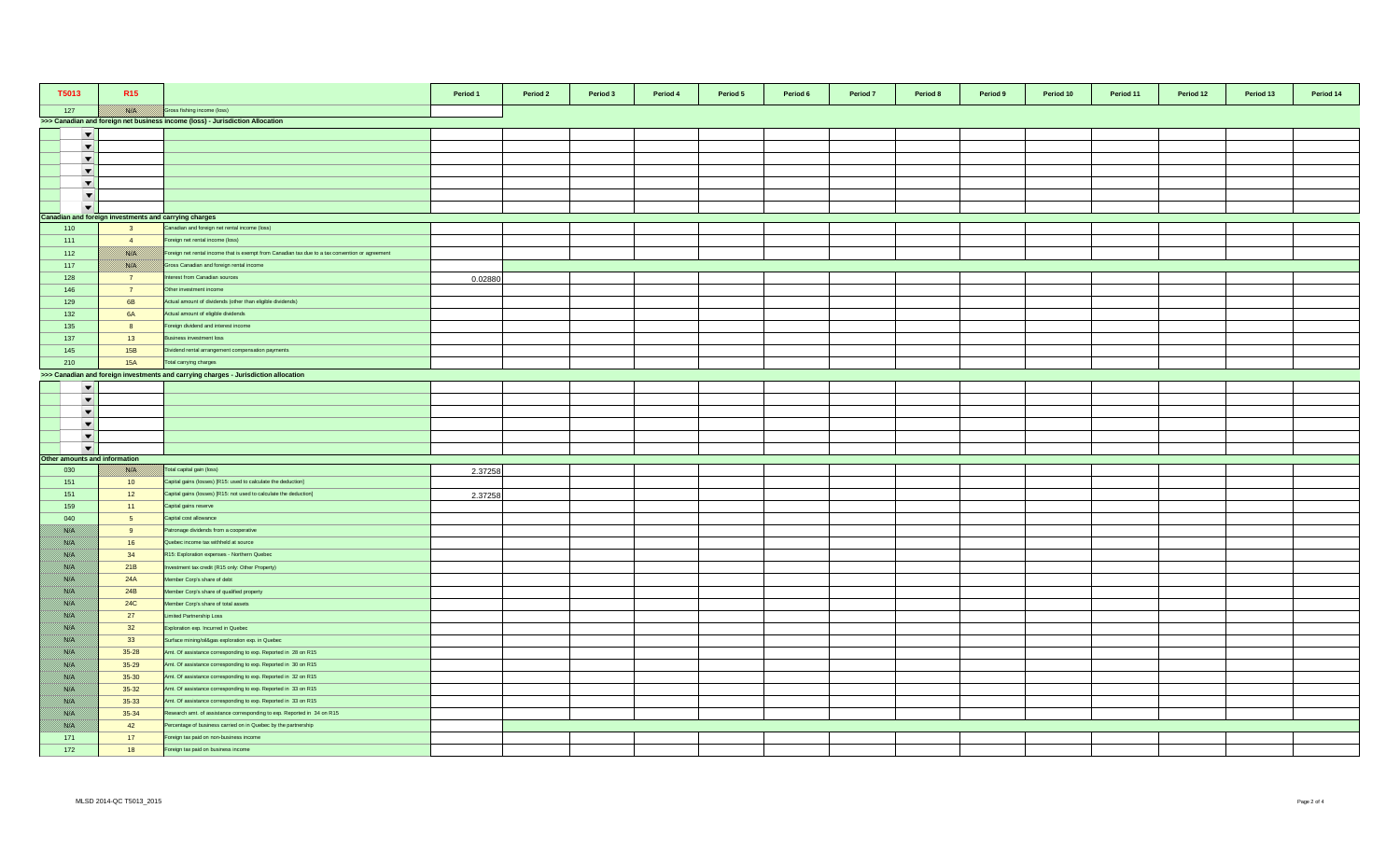| T5013                         | R <sub>15</sub>                                       |                                                                                                 | Period 1 | Period 2 | Period 3 | Period 4 | Period 5 | Period 6 | Period 7 | Period 8 | Period 9 | Period 10 | Period 11 | Period 12 | Period 13 | Period 14 |
|-------------------------------|-------------------------------------------------------|-------------------------------------------------------------------------------------------------|----------|----------|----------|----------|----------|----------|----------|----------|----------|-----------|-----------|-----------|-----------|-----------|
| 127                           |                                                       | Gross fishing income (loss)                                                                     |          |          |          |          |          |          |          |          |          |           |           |           |           |           |
|                               |                                                       | >>> Canadian and foreign net business income (loss) - Jurisdiction Allocation                   |          |          |          |          |          |          |          |          |          |           |           |           |           |           |
| $\overline{\phantom{a}}$      |                                                       |                                                                                                 |          |          |          |          |          |          |          |          |          |           |           |           |           |           |
| $\overline{\phantom{a}}$      |                                                       |                                                                                                 |          |          |          |          |          |          |          |          |          |           |           |           |           |           |
| $\overline{\phantom{a}}$      |                                                       |                                                                                                 |          |          |          |          |          |          |          |          |          |           |           |           |           |           |
| $\blacktriangledown$          |                                                       |                                                                                                 |          |          |          |          |          |          |          |          |          |           |           |           |           |           |
| $\blacktriangledown$          |                                                       |                                                                                                 |          |          |          |          |          |          |          |          |          |           |           |           |           |           |
| $\overline{\phantom{a}}$      |                                                       |                                                                                                 |          |          |          |          |          |          |          |          |          |           |           |           |           |           |
| $\overline{\phantom{a}}$      |                                                       |                                                                                                 |          |          |          |          |          |          |          |          |          |           |           |           |           |           |
|                               | Canadian and foreign investments and carrying charges |                                                                                                 |          |          |          |          |          |          |          |          |          |           |           |           |           |           |
| 110                           | $\overline{\mathbf{3}}$                               | Canadian and foreign net rental income (loss)                                                   |          |          |          |          |          |          |          |          |          |           |           |           |           |           |
| 111                           | $\overline{4}$                                        | Foreign net rental income (loss)                                                                |          |          |          |          |          |          |          |          |          |           |           |           |           |           |
| 112                           | <b>BARA</b>                                           | Foreign net rental income that is exempt from Canadian tax due to a tax convention or agreement |          |          |          |          |          |          |          |          |          |           |           |           |           |           |
| 117                           | <b>BARTA</b>                                          | Gross Canadian and foreign rental income                                                        |          |          |          |          |          |          |          |          |          |           |           |           |           |           |
| 128                           | $\overline{7}$                                        | terest from Canadian sources                                                                    | 0.02880  |          |          |          |          |          |          |          |          |           |           |           |           |           |
| 146                           | $\overline{7}$                                        | Other investment income                                                                         |          |          |          |          |          |          |          |          |          |           |           |           |           |           |
| 129                           | 6B                                                    | Actual amount of dividends (other than eligible dividends)                                      |          |          |          |          |          |          |          |          |          |           |           |           |           |           |
| 132                           | <b>6A</b>                                             | Actual amount of eligible dividends                                                             |          |          |          |          |          |          |          |          |          |           |           |           |           |           |
| 135                           | 8                                                     | Foreign dividend and interest income                                                            |          |          |          |          |          |          |          |          |          |           |           |           |           |           |
| 137                           | 13                                                    | Business investment loss                                                                        |          |          |          |          |          |          |          |          |          |           |           |           |           |           |
| 145                           | 15B                                                   | Dividend rental arrangement compensation payments                                               |          |          |          |          |          |          |          |          |          |           |           |           |           |           |
| 210                           | <b>15A</b>                                            | Total carrying charges                                                                          |          |          |          |          |          |          |          |          |          |           |           |           |           |           |
|                               |                                                       | >>> Canadian and foreign investments and carrying charges - Jurisdiction allocation             |          |          |          |          |          |          |          |          |          |           |           |           |           |           |
| $\blacktriangledown$          |                                                       |                                                                                                 |          |          |          |          |          |          |          |          |          |           |           |           |           |           |
| $\overline{\phantom{a}}$      |                                                       |                                                                                                 |          |          |          |          |          |          |          |          |          |           |           |           |           |           |
| $\overline{\phantom{a}}$      |                                                       |                                                                                                 |          |          |          |          |          |          |          |          |          |           |           |           |           |           |
| $\overline{\phantom{a}}$      |                                                       |                                                                                                 |          |          |          |          |          |          |          |          |          |           |           |           |           |           |
| $\blacktriangledown$          |                                                       |                                                                                                 |          |          |          |          |          |          |          |          |          |           |           |           |           |           |
| $\overline{\phantom{a}}$      |                                                       |                                                                                                 |          |          |          |          |          |          |          |          |          |           |           |           |           |           |
| Other amounts and information |                                                       |                                                                                                 |          |          |          |          |          |          |          |          |          |           |           |           |           |           |
| 030                           | <b>BATH</b>                                           | Total capital gain (loss)                                                                       | 2.37258  |          |          |          |          |          |          |          |          |           |           |           |           |           |
| 151                           | 10 <sup>°</sup>                                       | Capital gains (losses) [R15: used to calculate the deduction]                                   |          |          |          |          |          |          |          |          |          |           |           |           |           |           |
| 151                           | 12                                                    | Capital gains (losses) [R15: not used to calculate the deduction]                               | 2.37258  |          |          |          |          |          |          |          |          |           |           |           |           |           |
| 159                           | 11                                                    | Capital gains reserve                                                                           |          |          |          |          |          |          |          |          |          |           |           |           |           |           |
| 040                           | 5 <sub>5</sub>                                        | Capital cost allowance                                                                          |          |          |          |          |          |          |          |          |          |           |           |           |           |           |
| <u> Birliy</u>                | 9                                                     | Patronage dividends from a cooperative                                                          |          |          |          |          |          |          |          |          |          |           |           |           |           |           |
| <u> Birth</u>                 | 16                                                    | Quebec income tax withheld at source                                                            |          |          |          |          |          |          |          |          |          |           |           |           |           |           |
| <u> British</u>               | 34                                                    | R15: Exploration expenses - Northern Quebec                                                     |          |          |          |          |          |          |          |          |          |           |           |           |           |           |
| <u> Birth</u>                 | 21B                                                   | westment tax credit (R15 only: Other Property)                                                  |          |          |          |          |          |          |          |          |          |           |           |           |           |           |
| <u>filman</u>                 | 24A                                                   | Member Corp's share of debt                                                                     |          |          |          |          |          |          |          |          |          |           |           |           |           |           |
| BANG K                        | 24B                                                   | Member Corp's share of qualified property                                                       |          |          |          |          |          |          |          |          |          |           |           |           |           |           |
| //www                         | <b>24C</b>                                            | Member Corp's share of total assets                                                             |          |          |          |          |          |          |          |          |          |           |           |           |           |           |
| film ann a                    | 27                                                    | Limited Partnership Loss                                                                        |          |          |          |          |          |          |          |          |          |           |           |           |           |           |
| Birth M                       | 32                                                    | Exploration exp. Incurred in Quebec                                                             |          |          |          |          |          |          |          |          |          |           |           |           |           |           |
| <u> British</u>               | 33                                                    | Surface mining/oil&gas exploration exp. in Quebec                                               |          |          |          |          |          |          |          |          |          |           |           |           |           |           |
| <u>filman</u>                 | $35 - 28$                                             | Amt. Of assistance corresponding to exp. Reported in 28 on R15                                  |          |          |          |          |          |          |          |          |          |           |           |           |           |           |
| //www                         | $35 - 29$                                             | Amt. Of assistance corresponding to exp. Reported in 30 on R15                                  |          |          |          |          |          |          |          |          |          |           |           |           |           |           |
| <u> British</u>               | $35 - 30$                                             | Amt. Of assistance corresponding to exp. Reported in 32 on R15                                  |          |          |          |          |          |          |          |          |          |           |           |           |           |           |
| <u> Birth</u>                 | $35 - 32$                                             | Amt. Of assistance corresponding to exp. Reported in 33 on R15                                  |          |          |          |          |          |          |          |          |          |           |           |           |           |           |
| 1860 B                        | $35 - 33$                                             | Amt. Of assistance corresponding to exp. Reported in 33 on R15                                  |          |          |          |          |          |          |          |          |          |           |           |           |           |           |
| <u> British</u>               | $35 - 34$                                             | Research amt. of assistance corresponding to exp. Reported in 34 on R15                         |          |          |          |          |          |          |          |          |          |           |           |           |           |           |
| //www                         | 42                                                    | Percentage of business carried on in Quebec by the partnership                                  |          |          |          |          |          |          |          |          |          |           |           |           |           |           |
| 171                           | 17                                                    | Foreign tax paid on non-business income                                                         |          |          |          |          |          |          |          |          |          |           |           |           |           |           |
| 172                           | 18                                                    | Foreign tax paid on business income                                                             |          |          |          |          |          |          |          |          |          |           |           |           |           |           |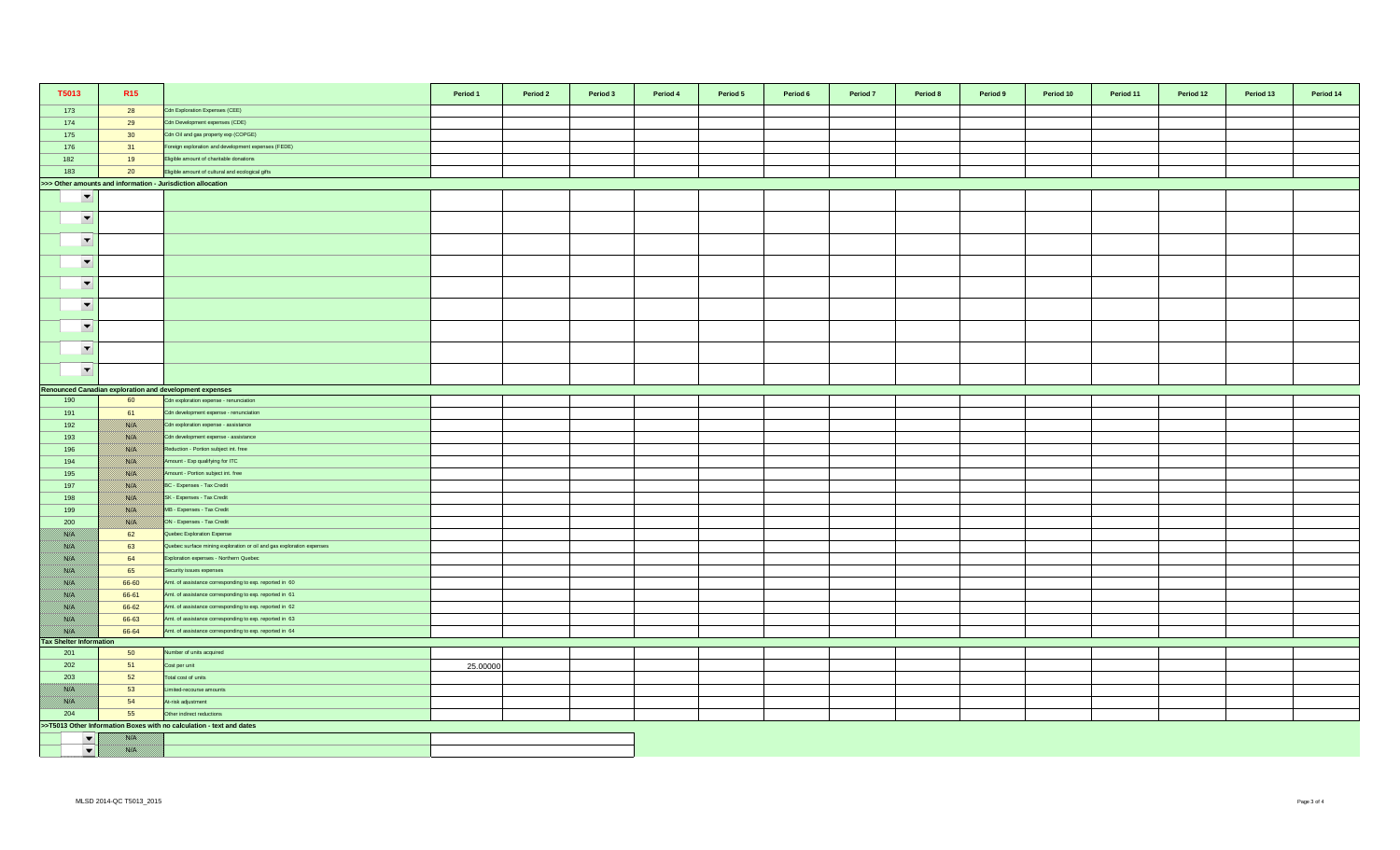| T5013                          | R <sub>15</sub> |                                                                       | Period 1 | Period 2 | Period 3 | Period 4 | Period 5 | Period 6 | Period 7 | Period 8 | Period 9 | Period 10 | Period 11 | Period 12 | Period 13 | Period 14 |
|--------------------------------|-----------------|-----------------------------------------------------------------------|----------|----------|----------|----------|----------|----------|----------|----------|----------|-----------|-----------|-----------|-----------|-----------|
| 173                            | 28              | Cdn Exploration Expenses (CEE)                                        |          |          |          |          |          |          |          |          |          |           |           |           |           |           |
| 174                            | 29              | Cdn Development expenses (CDE)                                        |          |          |          |          |          |          |          |          |          |           |           |           |           |           |
| 175                            | 30 <sup>°</sup> | Cdn Oil and gas property exp (COPGE)                                  |          |          |          |          |          |          |          |          |          |           |           |           |           |           |
| 176                            | 31              | Foreign exploration and development expenses (FEDE)                   |          |          |          |          |          |          |          |          |          |           |           |           |           |           |
| 182                            | 19              | Eligible amount of charitable donations                               |          |          |          |          |          |          |          |          |          |           |           |           |           |           |
| 183                            | 20              | Eligible amount of cultural and ecological gifts                      |          |          |          |          |          |          |          |          |          |           |           |           |           |           |
|                                |                 | >>> Other amounts and information - Jurisdiction allocation           |          |          |          |          |          |          |          |          |          |           |           |           |           |           |
| $\overline{\phantom{a}}$       |                 |                                                                       |          |          |          |          |          |          |          |          |          |           |           |           |           |           |
| $\overline{\phantom{a}}$       |                 |                                                                       |          |          |          |          |          |          |          |          |          |           |           |           |           |           |
| $\overline{\phantom{a}}$       |                 |                                                                       |          |          |          |          |          |          |          |          |          |           |           |           |           |           |
| $\overline{\phantom{a}}$       |                 |                                                                       |          |          |          |          |          |          |          |          |          |           |           |           |           |           |
| $\overline{\phantom{a}}$       |                 |                                                                       |          |          |          |          |          |          |          |          |          |           |           |           |           |           |
| $\overline{\phantom{a}}$       |                 |                                                                       |          |          |          |          |          |          |          |          |          |           |           |           |           |           |
| $\overline{\phantom{a}}$       |                 |                                                                       |          |          |          |          |          |          |          |          |          |           |           |           |           |           |
| $\overline{\phantom{a}}$       |                 |                                                                       |          |          |          |          |          |          |          |          |          |           |           |           |           |           |
| $\blacktriangledown$           |                 |                                                                       |          |          |          |          |          |          |          |          |          |           |           |           |           |           |
|                                |                 | Renounced Canadian exploration and development expenses               |          |          |          |          |          |          |          |          |          |           |           |           |           |           |
| 190                            | 60              | Cdn exploration expense - renunciation                                |          |          |          |          |          |          |          |          |          |           |           |           |           |           |
| 191                            | 61              | Cdn development expense - renunciation                                |          |          |          |          |          |          |          |          |          |           |           |           |           |           |
| 192                            | <u> Karlin</u>  | Cdn exploration expense - assistance                                  |          |          |          |          |          |          |          |          |          |           |           |           |           |           |
| 193                            |                 | Cdn development expense - assistance                                  |          |          |          |          |          |          |          |          |          |           |           |           |           |           |
| 196                            |                 | Reduction - Portion subject int. free                                 |          |          |          |          |          |          |          |          |          |           |           |           |           |           |
| 194                            |                 | Amount - Exp qualifying for ITC                                       |          |          |          |          |          |          |          |          |          |           |           |           |           |           |
| 195                            | <u> ISSUS I</u> | mount - Portion subject int. free                                     |          |          |          |          |          |          |          |          |          |           |           |           |           |           |
| 197                            | <u> Karlin</u>  | BC - Expenses - Tax Credit                                            |          |          |          |          |          |          |          |          |          |           |           |           |           |           |
| 198                            |                 | SK - Expenses - Tax Credit                                            |          |          |          |          |          |          |          |          |          |           |           |           |           |           |
| 199                            |                 | MB - Expenses - Tax Credit                                            |          |          |          |          |          |          |          |          |          |           |           |           |           |           |
| 200                            | USSA S          | ON - Expenses - Tax Credit                                            |          |          |          |          |          |          |          |          |          |           |           |           |           |           |
| film an                        | 62              | Quebec Exploration Expense                                            |          |          |          |          |          |          |          |          |          |           |           |           |           |           |
| <u> Birth I</u>                | 63              | Quebec surface mining exploration or oil and gas exploration expenses |          |          |          |          |          |          |          |          |          |           |           |           |           |           |
| <u> British</u>                | 64              | Exploration expenses - Northern Quebec                                |          |          |          |          |          |          |          |          |          |           |           |           |           |           |
| <u> Wissels I</u>              | 65              | Security issues expenses                                              |          |          |          |          |          |          |          |          |          |           |           |           |           |           |
| 78. S                          | 66-60           | Amt. of assistance corresponding to exp. reported in 60               |          |          |          |          |          |          |          |          |          |           |           |           |           |           |
| film an                        | 66-61           | Amt. of assistance corresponding to exp. reported in 61               |          |          |          |          |          |          |          |          |          |           |           |           |           |           |
| <u>filman</u>                  | 66-62           | Amt. of assistance corresponding to exp. reported in 62               |          |          |          |          |          |          |          |          |          |           |           |           |           |           |
| <u> Biblioth</u>               | 66-63           | Amt. of assistance corresponding to exp. reported in 63               |          |          |          |          |          |          |          |          |          |           |           |           |           |           |
|                                | 66-64           | Amt. of assistance corresponding to exp. reported in 64               |          |          |          |          |          |          |          |          |          |           |           |           |           |           |
| <b>Tax Shelter Information</b> |                 |                                                                       |          |          |          |          |          |          |          |          |          |           |           |           |           |           |
| 201                            | 50              | lumber of units acquired                                              |          |          |          |          |          |          |          |          |          |           |           |           |           |           |
| 202                            | 51              | Cost per unit                                                         | 25.00000 |          |          |          |          |          |          |          |          |           |           |           |           |           |
| 203                            | 52              | Total cost of units                                                   |          |          |          |          |          |          |          |          |          |           |           |           |           |           |
|                                | 53              | imited-recourse amounts                                               |          |          |          |          |          |          |          |          |          |           |           |           |           |           |
|                                | 54              | At-risk adjustment                                                    |          |          |          |          |          |          |          |          |          |           |           |           |           |           |
| 204                            | 55              | Other indirect reductions                                             |          |          |          |          |          |          |          |          |          |           |           |           |           |           |
|                                |                 | >>T5013 Other Information Boxes with no calculation - text and dates  |          |          |          |          |          |          |          |          |          |           |           |           |           |           |
| $\blacktriangledown$           |                 |                                                                       |          |          |          |          |          |          |          |          |          |           |           |           |           |           |
| $\blacktriangledown$           | film an         |                                                                       |          |          |          |          |          |          |          |          |          |           |           |           |           |           |